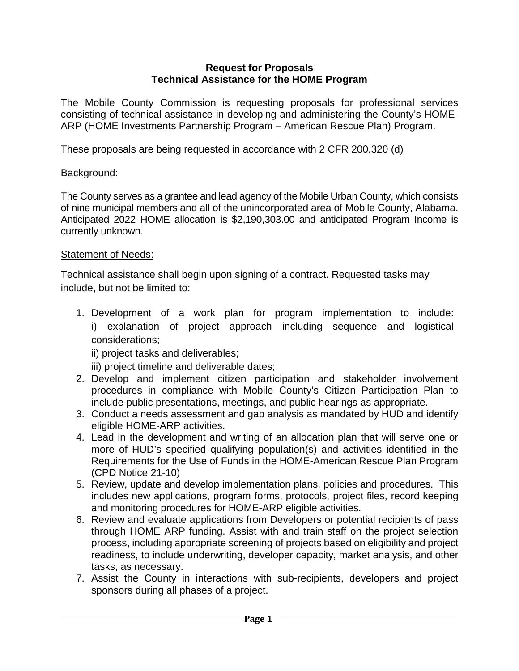#### **Request for Proposals Technical Assistance for the HOME Program**

The Mobile County Commission is requesting proposals for professional services consisting of technical assistance in developing and administering the County's HOME-ARP (HOME Investments Partnership Program – American Rescue Plan) Program.

These proposals are being requested in accordance with 2 CFR 200.320 (d)

### Background:

The County serves as a grantee and lead agency of the Mobile Urban County, which consists of nine municipal members and all of the unincorporated area of Mobile County, Alabama. Anticipated 2022 HOME allocation is \$2,190,303.00 and anticipated Program Income is currently unknown.

### Statement of Needs:

Technical assistance shall begin upon signing of a contract. Requested tasks may include, but not be limited to:

1. Development of a work plan for program implementation to include: i) explanation of project approach including sequence and logistical considerations;

ii) project tasks and deliverables;

iii) project timeline and deliverable dates;

- 2. Develop and implement citizen participation and stakeholder involvement procedures in compliance with Mobile County's Citizen Participation Plan to include public presentations, meetings, and public hearings as appropriate.
- 3. Conduct a needs assessment and gap analysis as mandated by HUD and identify eligible HOME-ARP activities.
- 4. Lead in the development and writing of an allocation plan that will serve one or more of HUD's specified qualifying population(s) and activities identified in the Requirements for the Use of Funds in the HOME-American Rescue Plan Program (CPD Notice 21-10)
- 5. Review, update and develop implementation plans, policies and procedures. This includes new applications, program forms, protocols, project files, record keeping and monitoring procedures for HOME-ARP eligible activities.
- 6. Review and evaluate applications from Developers or potential recipients of pass through HOME ARP funding. Assist with and train staff on the project selection process, including appropriate screening of projects based on eligibility and project readiness, to include underwriting, developer capacity, market analysis, and other tasks, as necessary.
- 7. Assist the County in interactions with sub-recipients, developers and project sponsors during all phases of a project.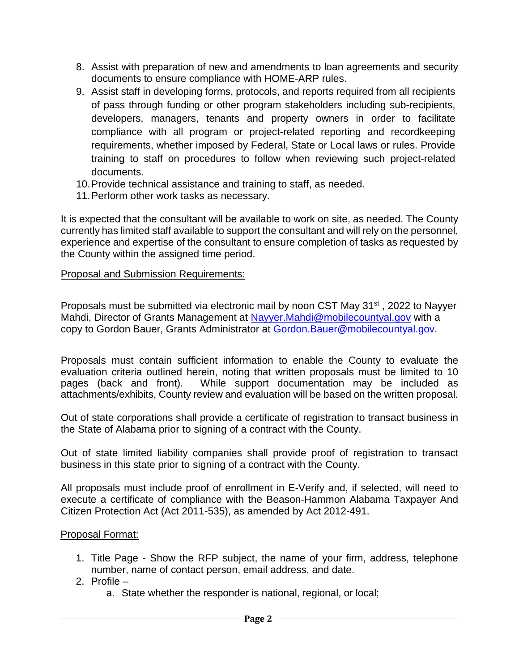- 8. Assist with preparation of new and amendments to loan agreements and security documents to ensure compliance with HOME-ARP rules.
- 9. Assist staff in developing forms, protocols, and reports required from all recipients of pass through funding or other program stakeholders including sub-recipients, developers, managers, tenants and property owners in order to facilitate compliance with all program or project-related reporting and recordkeeping requirements, whether imposed by Federal, State or Local laws or rules. Provide training to staff on procedures to follow when reviewing such project-related documents.
- 10. Provide technical assistance and training to staff, as needed.
- 11. Perform other work tasks as necessary.

It is expected that the consultant will be available to work on site, as needed. The County currently has limited staff available to support the consultant and will rely on the personnel, experience and expertise of the consultant to ensure completion of tasks as requested by the County within the assigned time period.

### Proposal and Submission Requirements:

Proposals must be submitted via electronic mail by noon CST May 31<sup>st</sup>, 2022 to Nayyer Mahdi, Director of Grants Management at [Nayyer.Mahdi@mobilecountyal.gov](mailto:Nayyer.Mahdi@mobilecountyal.gov) with a copy to Gordon Bauer, Grants Administrator at [Gordon.Bauer@mobilecountyal.gov.](mailto:Gordon.Bauer@mobilecountyal.gov)

Proposals must contain sufficient information to enable the County to evaluate the evaluation criteria outlined herein, noting that written proposals must be limited to 10 pages (back and front). While support documentation may be included as attachments/exhibits, County review and evaluation will be based on the written proposal.

Out of state corporations shall provide a certificate of registration to transact business in the State of Alabama prior to signing of a contract with the County.

Out of state limited liability companies shall provide proof of registration to transact business in this state prior to signing of a contract with the County.

All proposals must include proof of enrollment in E-Verify and, if selected, will need to execute a certificate of compliance with the Beason-Hammon Alabama Taxpayer And Citizen Protection Act (Act 2011-535), as amended by Act 2012-491.

#### Proposal Format:

- 1. Title Page Show the RFP subject, the name of your firm, address, telephone number, name of contact person, email address, and date.
- 2. Profile
	- a. State whether the responder is national, regional, or local;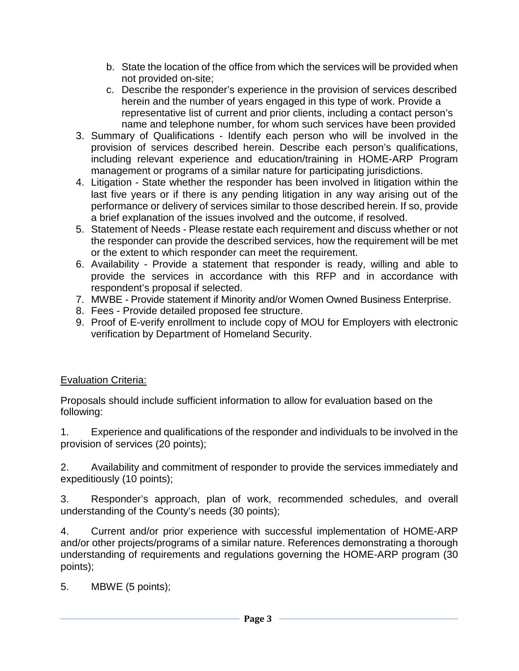- b. State the location of the office from which the services will be provided when not provided on-site;
- c. Describe the responder's experience in the provision of services described herein and the number of years engaged in this type of work. Provide a representative list of current and prior clients, including a contact person's name and telephone number, for whom such services have been provided
- 3. Summary of Qualifications Identify each person who will be involved in the provision of services described herein. Describe each person's qualifications, including relevant experience and education/training in HOME-ARP Program management or programs of a similar nature for participating jurisdictions.
- 4. Litigation State whether the responder has been involved in litigation within the last five years or if there is any pending litigation in any way arising out of the performance or delivery of services similar to those described herein. If so, provide a brief explanation of the issues involved and the outcome, if resolved.
- 5. Statement of Needs Please restate each requirement and discuss whether or not the responder can provide the described services, how the requirement will be met or the extent to which responder can meet the requirement.
- 6. Availability Provide a statement that responder is ready, willing and able to provide the services in accordance with this RFP and in accordance with respondent's proposal if selected.
- 7. MWBE Provide statement if Minority and/or Women Owned Business Enterprise.
- 8. Fees Provide detailed proposed fee structure.
- 9. Proof of E-verify enrollment to include copy of MOU for Employers with electronic verification by Department of Homeland Security.

## Evaluation Criteria:

Proposals should include sufficient information to allow for evaluation based on the following:

1. Experience and qualifications of the responder and individuals to be involved in the provision of services (20 points);

2. Availability and commitment of responder to provide the services immediately and expeditiously (10 points);

3. Responder's approach, plan of work, recommended schedules, and overall understanding of the County's needs (30 points);

4. Current and/or prior experience with successful implementation of HOME-ARP and/or other projects/programs of a similar nature. References demonstrating a thorough understanding of requirements and regulations governing the HOME-ARP program (30 points);

5. MBWE (5 points);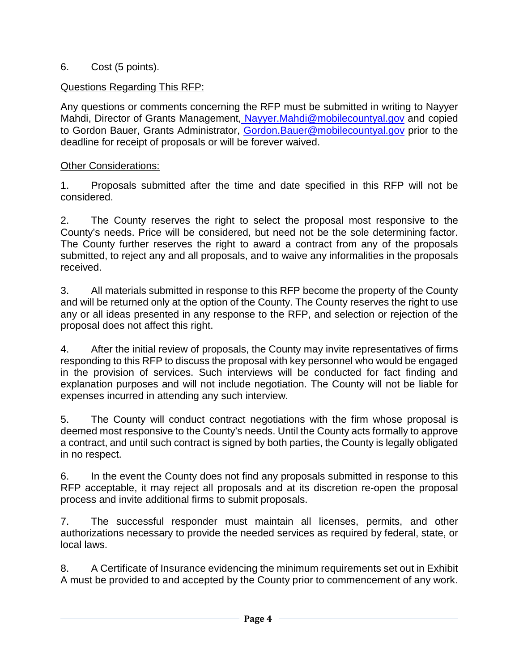## 6. Cost (5 points).

# Questions Regarding This RFP:

Any questions or comments concerning the RFP must be submitted in writing to Nayyer Mahdi, Director of Grants Management[, Nayyer.Mahdi@mobilecountyal.gov](mailto:%20Nayyer.Mahdi@mobilecountyal.gov) and copied to Gordon Bauer, Grants Administrator, [Gordon.Bauer@mobilecountyal.gov](mailto:Gordon.Bauer@mobilecountyal.gov) prior to the deadline for receipt of proposals or will be forever waived.

# Other Considerations:

1. Proposals submitted after the time and date specified in this RFP will not be considered.

2. The County reserves the right to select the proposal most responsive to the County's needs. Price will be considered, but need not be the sole determining factor. The County further reserves the right to award a contract from any of the proposals submitted, to reject any and all proposals, and to waive any informalities in the proposals received.

3. All materials submitted in response to this RFP become the property of the County and will be returned only at the option of the County. The County reserves the right to use any or all ideas presented in any response to the RFP, and selection or rejection of the proposal does not affect this right.

4. After the initial review of proposals, the County may invite representatives of firms responding to this RFP to discuss the proposal with key personnel who would be engaged in the provision of services. Such interviews will be conducted for fact finding and explanation purposes and will not include negotiation. The County will not be liable for expenses incurred in attending any such interview.

5. The County will conduct contract negotiations with the firm whose proposal is deemed most responsive to the County's needs. Until the County acts formally to approve a contract, and until such contract is signed by both parties, the County is legally obligated in no respect.

6. In the event the County does not find any proposals submitted in response to this RFP acceptable, it may reject all proposals and at its discretion re-open the proposal process and invite additional firms to submit proposals.

7. The successful responder must maintain all licenses, permits, and other authorizations necessary to provide the needed services as required by federal, state, or local laws.

8. A Certificate of Insurance evidencing the minimum requirements set out in Exhibit A must be provided to and accepted by the County prior to commencement of any work.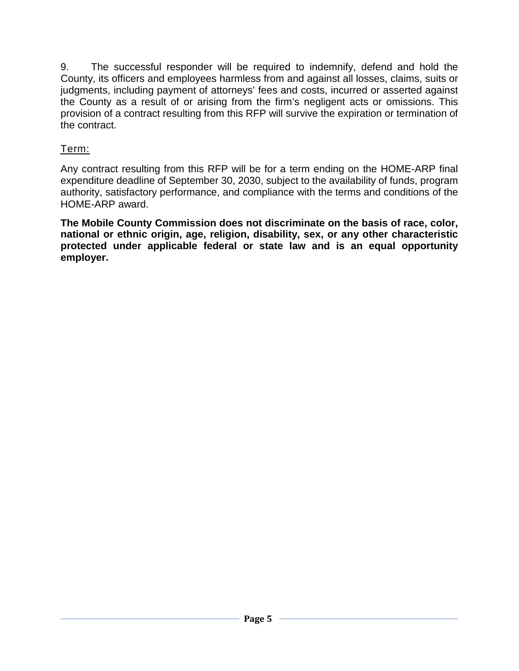9. The successful responder will be required to indemnify, defend and hold the County, its officers and employees harmless from and against all losses, claims, suits or judgments, including payment of attorneys' fees and costs, incurred or asserted against the County as a result of or arising from the firm's negligent acts or omissions. This provision of a contract resulting from this RFP will survive the expiration or termination of the contract.

# Term:

Any contract resulting from this RFP will be for a term ending on the HOME-ARP final expenditure deadline of September 30, 2030, subject to the availability of funds, program authority, satisfactory performance, and compliance with the terms and conditions of the HOME-ARP award.

**The Mobile County Commission does not discriminate on the basis of race, color, national or ethnic origin, age, religion, disability, sex, or any other characteristic protected under applicable federal or state law and is an equal opportunity employer.**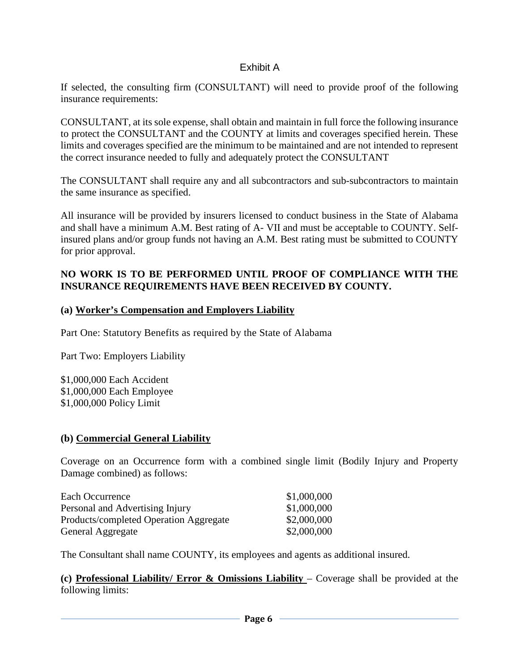### Exhibit A

If selected, the consulting firm (CONSULTANT) will need to provide proof of the following insurance requirements:

CONSULTANT, at its sole expense, shall obtain and maintain in full force the following insurance to protect the CONSULTANT and the COUNTY at limits and coverages specified herein. These limits and coverages specified are the minimum to be maintained and are not intended to represent the correct insurance needed to fully and adequately protect the CONSULTANT

The CONSULTANT shall require any and all subcontractors and sub-subcontractors to maintain the same insurance as specified.

All insurance will be provided by insurers licensed to conduct business in the State of Alabama and shall have a minimum A.M. Best rating of A- VII and must be acceptable to COUNTY. Selfinsured plans and/or group funds not having an A.M. Best rating must be submitted to COUNTY for prior approval.

### **NO WORK IS TO BE PERFORMED UNTIL PROOF OF COMPLIANCE WITH THE INSURANCE REQUIREMENTS HAVE BEEN RECEIVED BY COUNTY.**

#### **(a) Worker's Compensation and Employers Liability**

Part One: Statutory Benefits as required by the State of Alabama

Part Two: Employers Liability

\$1,000,000 Each Accident \$1,000,000 Each Employee \$1,000,000 Policy Limit

#### **(b) Commercial General Liability**

Coverage on an Occurrence form with a combined single limit (Bodily Injury and Property Damage combined) as follows:

| Each Occurrence                        | \$1,000,000 |
|----------------------------------------|-------------|
| Personal and Advertising Injury        | \$1,000,000 |
| Products/completed Operation Aggregate | \$2,000,000 |
| General Aggregate                      | \$2,000,000 |

The Consultant shall name COUNTY, its employees and agents as additional insured.

**(c) Professional Liability/ Error & Omissions Liability** – Coverage shall be provided at the following limits: